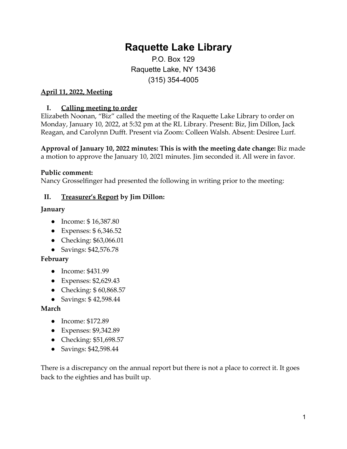# **Raquette Lake Library**

P.O. Box 129 Raquette Lake, NY 13436 (315) 354-4005

## **April 11, 2022, Meeting**

#### **I. Calling meeting to order**

Elizabeth Noonan, "Biz" called the meeting of the Raquette Lake Library to order on Monday, January 10, 2022, at 5:32 pm at the RL Library. Present: Biz, Jim Dillon, Jack Reagan, and Carolynn Dufft. Present via Zoom: Colleen Walsh. Absent: Desiree Lurf.

**Approval of January 10, 2022 minutes: This is with the meeting date change:** Biz made a motion to approve the January 10, 2021 minutes. Jim seconded it. All were in favor.

#### **Public comment:**

Nancy Grosselfinger had presented the following in writing prior to the meeting:

## **II. Treasurer's Report by Jim Dillon:**

#### **January**

- Income: \$16,387.80
- Expenses: \$ 6,346.52
- Checking: \$63,066.01
- Savings: \$42,576.78

#### **February**

- Income: \$431.99
- Expenses: \$2,629.43
- Checking: \$60,868.57
- Savings: \$ 42,598.44

#### **March**

- Income: \$172.89
- Expenses: \$9,342.89
- Checking: \$51,698.57
- Savings: \$42,598.44

There is a discrepancy on the annual report but there is not a place to correct it. It goes back to the eighties and has built up.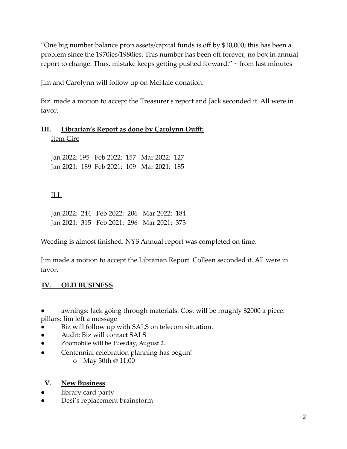"One big number balance prop assets/capital funds is off by \$10,000; this has been a problem since the 1970ies/1980ies. This number has been off forever, no box in annual report to change. Thus, mistake keeps getting pushed forward." ~ from last minutes

Jim and Carolynn will follow up on McHale donation.

Biz made a motion to accept the Treasurer's report and Jack seconded it. All were in favor.

# **III. Librarian's Report as done by Carolynn Dufft:** Item Circ

Jan 2022: 195 Feb 2022: 157 Mar 2022: 127 Jan 2021: 189 Feb 2021: 109 Mar 2021: 185

# ILL

Jan 2022: 244 Feb 2022: 206 Mar 2022: 184 Jan 2021: 315 Feb 2021: 296 Mar 2021: 373

Weeding is almost finished. NYS Annual report was completed on time.

Jim made a motion to accept the Librarian Report. Colleen seconded it. All were in favor.

# **IV. OLD BUSINESS**

awnings: Jack going through materials. Cost will be roughly \$2000 a piece. pillars: Jim left a message

- Biz will follow up with SALS on telecom situation.
- Audit: Biz will contact SALS
- Zoomobile will be Tuesday, August 2.
- Centennial celebration planning has begun!
	- o May 30th @ 11:00

## **V. New Business**

- library card party
- Desi's replacement brainstorm